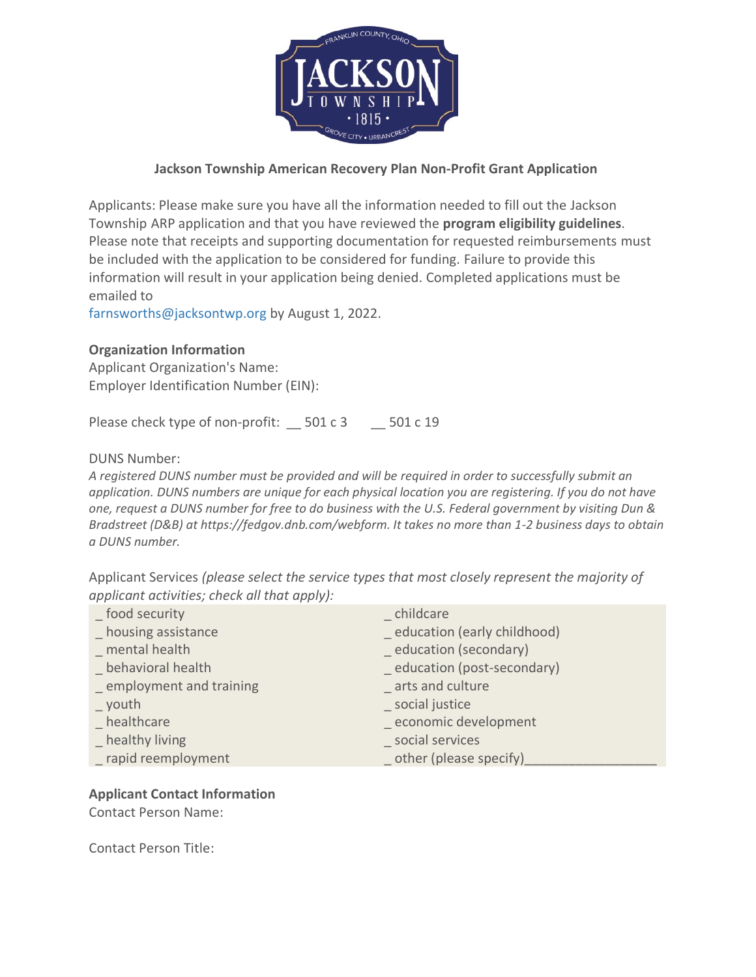

# **Jackson Township American Recovery Plan Non-Profit Grant Application**

Applicants: Please make sure you have all the information needed to fill out the Jackson Township ARP application and that you have reviewed the **program eligibility guidelines**. Please note that receipts and supporting documentation for requested reimbursements must be included with the application to be considered for funding. Failure to provide this information will result in your application being denied. Completed applications must be [emailed to](mailto:npurdy@wellspan.org) 

farnsworths@jacksontwp.org by August 1, 2022.

# **Organization Information**

Applicant Organization's Name: Employer Identification Number (EIN):

Please check type of non-profit: \_\_ 501 c 3 \_\_ 501 c 19

DUNS Number:

*A registered DUNS number must be provided and will be required in order to successfully submit an application. DUNS numbers are unique for each physical location you are registering. If you do not have one, request a DUNS number for free to do business with the U.S. Federal government by visiting Dun & Bradstreet (D&B) at https://fedgov.dnb.com/webform. It takes no more than 1-2 business days to obtain a DUNS number.*

Applicant Services *(please select the service types that most closely represent the majority of applicant activities; check all that apply):*

| food security                  | childcare                    |
|--------------------------------|------------------------------|
| housing assistance             | education (early childhood)  |
| mental health                  | education (secondary)        |
| behavioral health              | _ education (post-secondary) |
| _ employment and training      | arts and culture             |
| $\overline{\phantom{0}}$ youth | _ social justice             |
| healthcare                     | economic development         |
| healthy living                 | social services              |
| _ rapid reemployment           | other (please specify)       |

# **Applicant Contact Information**

Contact Person Name:

Contact Person Title: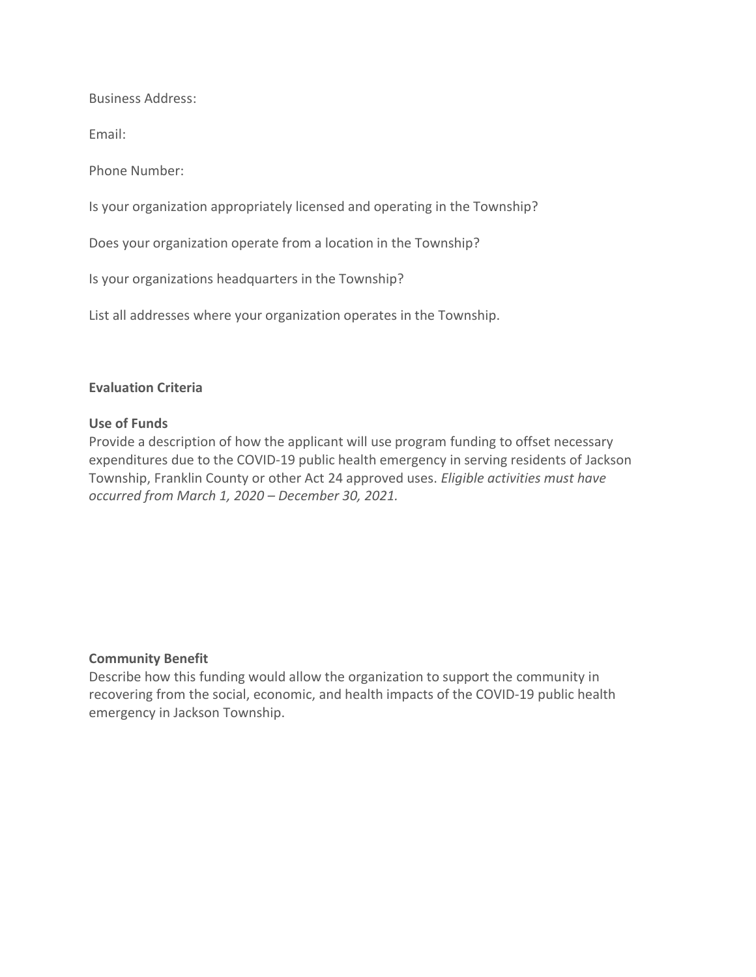Business Address:

Email:

Phone Number:

Is your organization appropriately licensed and operating in the Township?

Does your organization operate from a location in the Township?

Is your organizations headquarters in the Township?

List all addresses where your organization operates in the Township.

## **Evaluation Criteria**

#### **Use of Funds**

Provide a description of how the applicant will use program funding to offset necessary expenditures due to the COVID-19 public health emergency in serving residents of Jackson Township, Franklin County or other Act 24 approved uses. *Eligible activities must have occurred from March 1, 2020 – December 30, 2021.* 

## **Community Benefit**

Describe how this funding would allow the organization to support the community in recovering from the social, economic, and health impacts of the COVID-19 public health emergency in Jackson Township.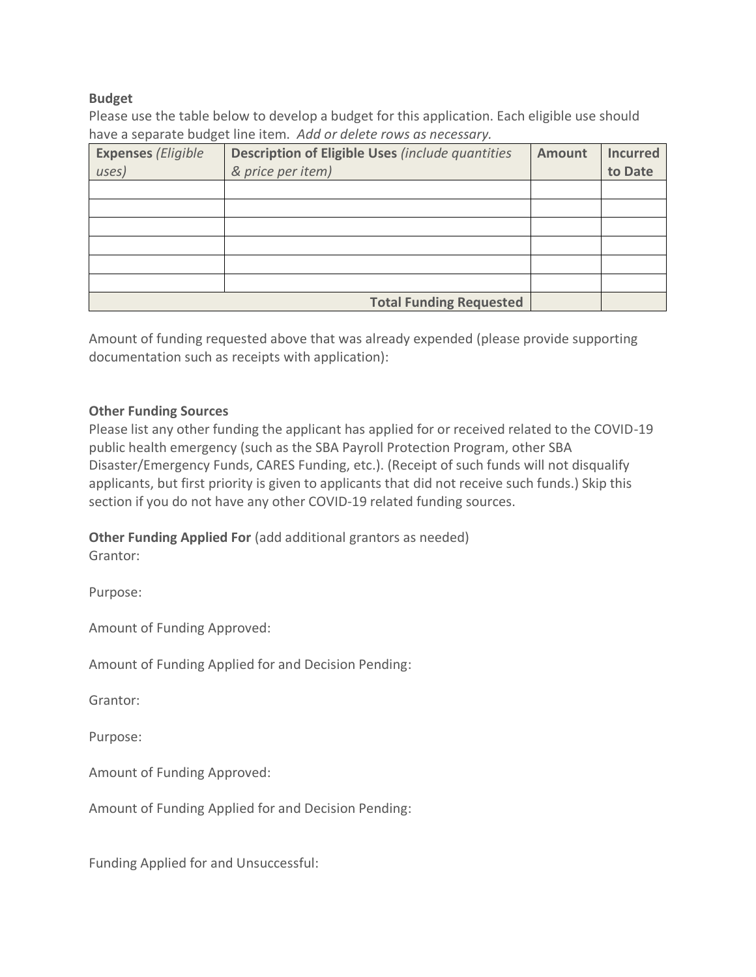## **Budget**

Please use the table below to develop a budget for this application. Each eligible use should have a separate budget line item. *Add or delete rows as necessary.*

| <b>Expenses (Eligible</b> | Description of Eligible Uses (include quantities | <b>Amount</b> | <b>Incurred</b> |
|---------------------------|--------------------------------------------------|---------------|-----------------|
| uses)                     | & price per item)                                |               | to Date         |
|                           |                                                  |               |                 |
|                           |                                                  |               |                 |
|                           |                                                  |               |                 |
|                           |                                                  |               |                 |
|                           |                                                  |               |                 |
|                           |                                                  |               |                 |
|                           | <b>Total Funding Requested</b>                   |               |                 |

Amount of funding requested above that was already expended (please provide supporting documentation such as receipts with application):

## **Other Funding Sources**

Please list any other funding the applicant has applied for or received related to the COVID-19 public health emergency (such as the SBA Payroll Protection Program, other SBA Disaster/Emergency Funds, CARES Funding, etc.). (Receipt of such funds will not disqualify applicants, but first priority is given to applicants that did not receive such funds.) Skip this section if you do not have any other COVID-19 related funding sources.

**Other Funding Applied For** (add additional grantors as needed)

Grantor:

Purpose:

Amount of Funding Approved:

Amount of Funding Applied for and Decision Pending:

Grantor:

Purpose:

Amount of Funding Approved:

Amount of Funding Applied for and Decision Pending:

Funding Applied for and Unsuccessful: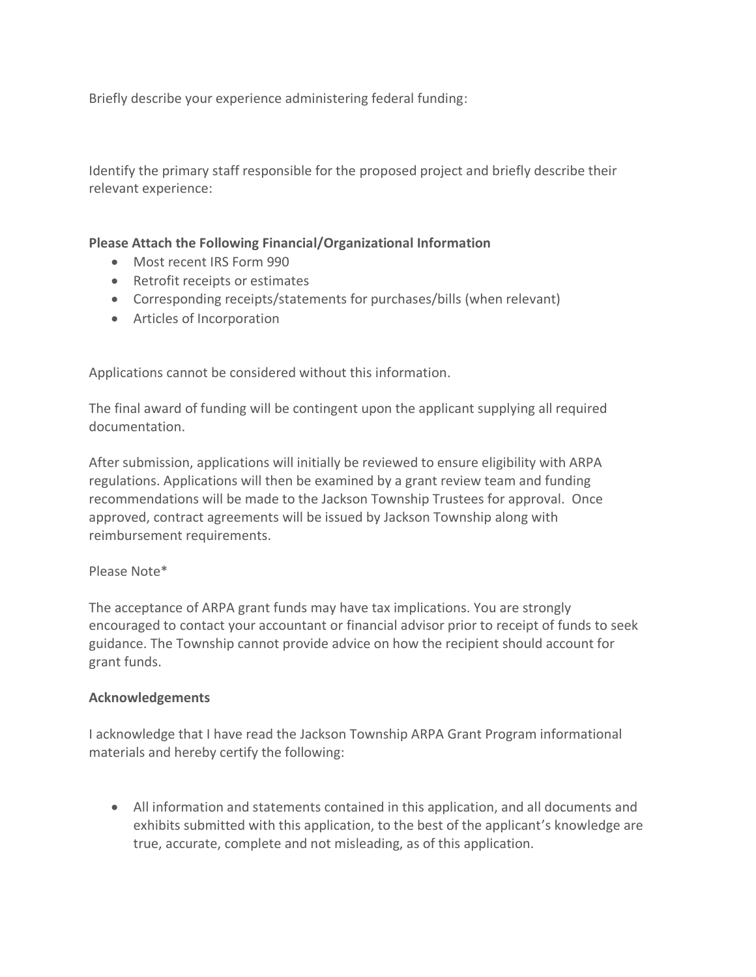Briefly describe your experience administering federal funding:

Identify the primary staff responsible for the proposed project and briefly describe their relevant experience:

# **Please Attach the Following Financial/Organizational Information**

- Most recent IRS Form 990
- Retrofit receipts or estimates
- Corresponding receipts/statements for purchases/bills (when relevant)
- Articles of Incorporation

Applications cannot be considered without this information.

The final award of funding will be contingent upon the applicant supplying all required documentation.

After submission, applications will initially be reviewed to ensure eligibility with ARPA regulations. Applications will then be examined by a grant review team and funding recommendations will be made to the Jackson Township Trustees for approval. Once approved, contract agreements will be issued by Jackson Township along with reimbursement requirements.

## Please Note\*

The acceptance of ARPA grant funds may have tax implications. You are strongly encouraged to contact your accountant or financial advisor prior to receipt of funds to seek guidance. The Township cannot provide advice on how the recipient should account for grant funds.

## **Acknowledgements**

I acknowledge that I have read the Jackson Township ARPA Grant Program informational materials and hereby certify the following:

• All information and statements contained in this application, and all documents and exhibits submitted with this application, to the best of the applicant's knowledge are true, accurate, complete and not misleading, as of this application.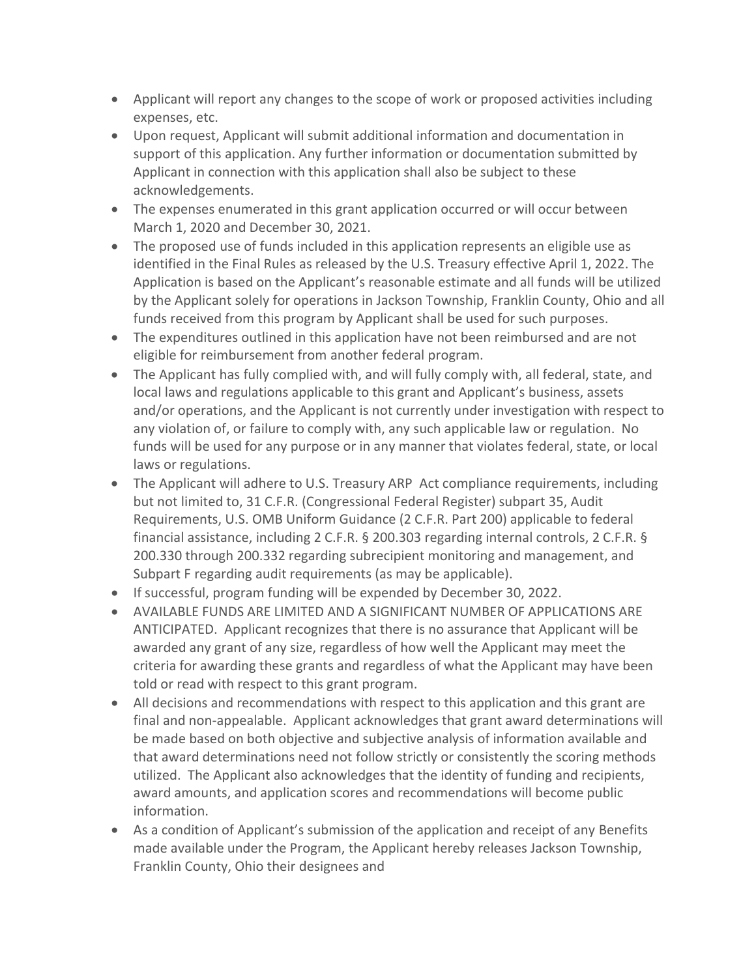- Applicant will report any changes to the scope of work or proposed activities including expenses, etc.
- Upon request, Applicant will submit additional information and documentation in support of this application. Any further information or documentation submitted by Applicant in connection with this application shall also be subject to these acknowledgements.
- The expenses enumerated in this grant application occurred or will occur between March 1, 2020 and December 30, 2021.
- The proposed use of funds included in this application represents an eligible use as identified in the Final Rules as released by the U.S. Treasury effective April 1, 2022. The Application is based on the Applicant's reasonable estimate and all funds will be utilized by the Applicant solely for operations in Jackson Township, Franklin County, Ohio and all funds received from this program by Applicant shall be used for such purposes.
- The expenditures outlined in this application have not been reimbursed and are not eligible for reimbursement from another federal program.
- The Applicant has fully complied with, and will fully comply with, all federal, state, and local laws and regulations applicable to this grant and Applicant's business, assets and/or operations, and the Applicant is not currently under investigation with respect to any violation of, or failure to comply with, any such applicable law or regulation. No funds will be used for any purpose or in any manner that violates federal, state, or local laws or regulations.
- The Applicant will adhere to U.S. Treasury ARP Act compliance requirements, including but not limited to, 31 C.F.R. (Congressional Federal Register) subpart 35, Audit Requirements, U.S. OMB Uniform Guidance (2 C.F.R. Part 200) applicable to federal financial assistance, including 2 C.F.R. § 200.303 regarding internal controls, 2 C.F.R. § 200.330 through 200.332 regarding subrecipient monitoring and management, and Subpart F regarding audit requirements (as may be applicable).
- If successful, program funding will be expended by December 30, 2022.
- AVAILABLE FUNDS ARE LIMITED AND A SIGNIFICANT NUMBER OF APPLICATIONS ARE ANTICIPATED. Applicant recognizes that there is no assurance that Applicant will be awarded any grant of any size, regardless of how well the Applicant may meet the criteria for awarding these grants and regardless of what the Applicant may have been told or read with respect to this grant program.
- All decisions and recommendations with respect to this application and this grant are final and non-appealable. Applicant acknowledges that grant award determinations will be made based on both objective and subjective analysis of information available and that award determinations need not follow strictly or consistently the scoring methods utilized. The Applicant also acknowledges that the identity of funding and recipients, award amounts, and application scores and recommendations will become public information.
- As a condition of Applicant's submission of the application and receipt of any Benefits made available under the Program, the Applicant hereby releases Jackson Township, Franklin County, Ohio their designees and